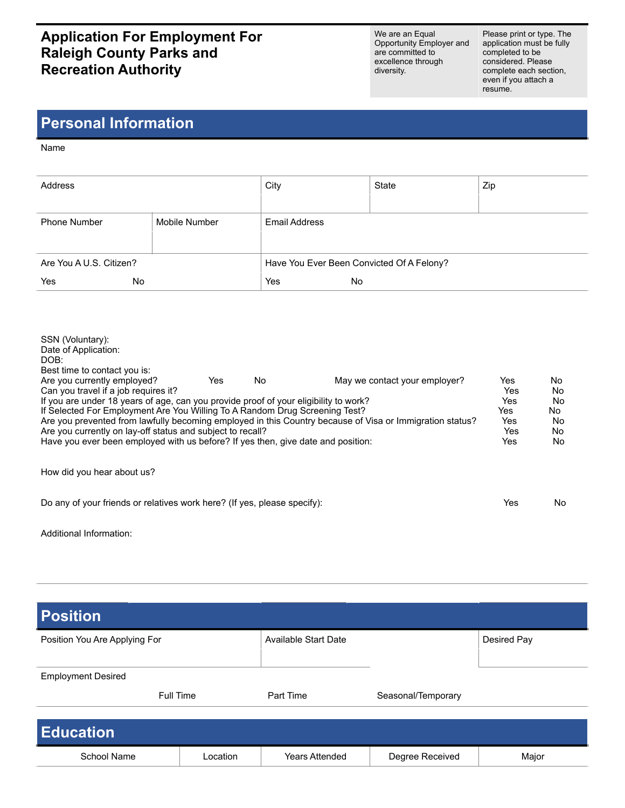## **Application For Employment For Raleigh County Parks and Recreation Authority**

We are an Equal Opportunity Employer and are committed to excellence through diversity.

Please print or type. The application must be fully completed to be considered. Please complete each section, even if you attach a resume.

## **Personal Information**

Name

| Address                 |               | City                                      | State | Zip |  |
|-------------------------|---------------|-------------------------------------------|-------|-----|--|
| <b>Phone Number</b>     | Mobile Number | Email Address                             |       |     |  |
| Are You A U.S. Citizen? |               | Have You Ever Been Convicted Of A Felony? |       |     |  |
| Yes<br>No.              |               | Yes<br>No                                 |       |     |  |

| SSN (Voluntary):<br>Date of Application:<br>DOB:<br>Best time to contact you is:<br>Are you currently employed?<br>Can you travel if a job requires it?<br>If you are under 18 years of age, can you provide proof of your eligibility to work?<br>If Selected For Employment Are You Willing To A Random Drug Screening Test?<br>Are you currently on lay-off status and subject to recall?<br>Have you ever been employed with us before? If yes then, give date and position: | Yes | No. | May we contact your employer?<br>Are you prevented from lawfully becoming employed in this Country because of Visa or Immigration status? | Yes<br>Yes<br>Yes<br>Yes<br>Yes<br>Yes<br>Yes | No.<br>No<br>No<br>No.<br>No.<br>No.<br>No. |
|----------------------------------------------------------------------------------------------------------------------------------------------------------------------------------------------------------------------------------------------------------------------------------------------------------------------------------------------------------------------------------------------------------------------------------------------------------------------------------|-----|-----|-------------------------------------------------------------------------------------------------------------------------------------------|-----------------------------------------------|---------------------------------------------|
| How did you hear about us?                                                                                                                                                                                                                                                                                                                                                                                                                                                       |     |     |                                                                                                                                           |                                               |                                             |
| Do any of your friends or relatives work here? (If yes, please specify):                                                                                                                                                                                                                                                                                                                                                                                                         |     |     |                                                                                                                                           | Yes                                           | No.                                         |

Additional Information:

| <b>Position</b>               |          |                             |                    |             |  |  |
|-------------------------------|----------|-----------------------------|--------------------|-------------|--|--|
| Position You Are Applying For |          | <b>Available Start Date</b> |                    | Desired Pay |  |  |
| <b>Employment Desired</b>     |          |                             |                    |             |  |  |
| Full Time                     |          | Part Time                   | Seasonal/Temporary |             |  |  |
| <b>Education</b>              |          |                             |                    |             |  |  |
| School Name                   | Location | <b>Years Attended</b>       | Degree Received    | Major       |  |  |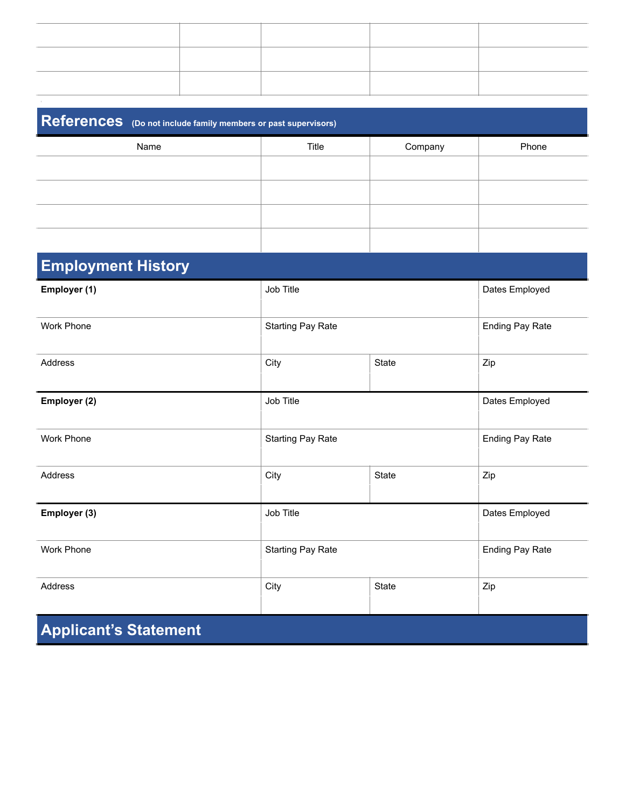| References (Do not include family members or past supervisors) |                          |                        |                        |  |
|----------------------------------------------------------------|--------------------------|------------------------|------------------------|--|
| Name                                                           | Title                    | Company                | Phone                  |  |
|                                                                |                          |                        |                        |  |
|                                                                |                          |                        |                        |  |
|                                                                |                          |                        |                        |  |
|                                                                |                          |                        |                        |  |
| <b>Employment History</b>                                      |                          |                        |                        |  |
| Employer (1)                                                   | Job Title                |                        | Dates Employed         |  |
| Work Phone                                                     | <b>Starting Pay Rate</b> |                        | <b>Ending Pay Rate</b> |  |
| Address                                                        | City                     | <b>State</b>           | Zip                    |  |
| Employer (2)                                                   | Job Title                |                        | Dates Employed         |  |
| Work Phone                                                     | <b>Starting Pay Rate</b> |                        | <b>Ending Pay Rate</b> |  |
| Address                                                        | City                     | State                  | Zip                    |  |
| Employer (3)                                                   | Job Title                |                        | Dates Employed         |  |
| Work Phone                                                     | <b>Starting Pay Rate</b> | <b>Ending Pay Rate</b> |                        |  |
| Address                                                        | City                     | <b>State</b>           | Zip                    |  |

**Applicant's Statement**